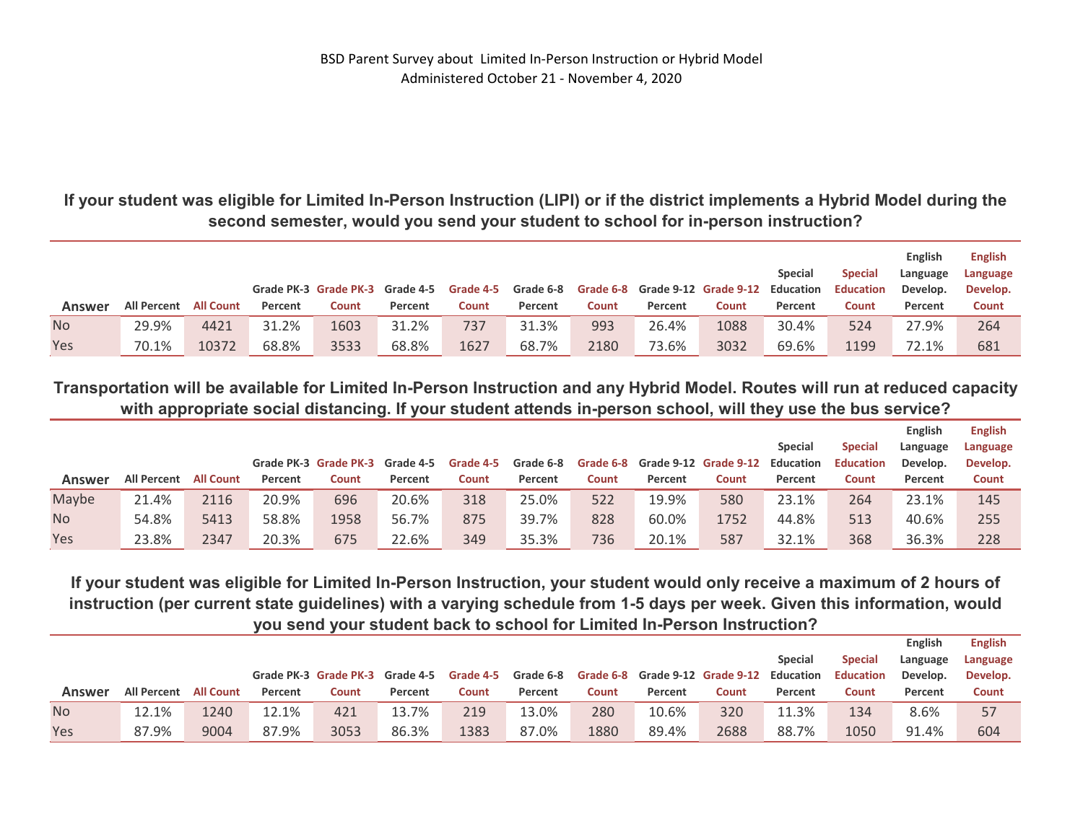**If your student was eligible for Limited In-Person Instruction (LIPI) or if the district implements a Hybrid Model during the second semester, would you send your student to school for in-person instruction?** 

|           |             |                  |         | Grade PK-3 Grade PK-3 Grade 4-5 |         | Grade 4-5    | Grade 6-8 |       |         | Grade 6-8 Grade 9-12 Grade 9-12 Education | <b>Special</b> | <b>Special</b><br><b>Education</b> | English<br>Language<br>Develop. | <b>English</b><br>Language<br>Develop. |
|-----------|-------------|------------------|---------|---------------------------------|---------|--------------|-----------|-------|---------|-------------------------------------------|----------------|------------------------------------|---------------------------------|----------------------------------------|
| Answer    | All Percent | <b>All Count</b> | Percent | Count                           | Percent | <b>Count</b> | Percent   | Count | Percent | Count                                     | Percent        | Count                              | Percent                         | <b>Count</b>                           |
| <b>No</b> | 29.9%       | 4421             | 31.2%   | 1603                            | 31.2%   | 737          | 31.3%     | 993   | 26.4%   | 1088                                      | 30.4%          | 524                                | 27.9%                           | 264                                    |
| Yes       | 70.1%       | 10372            | 68.8%   | 3533                            | 68.8%   | 1627         | 68.7%     | 2180  | 73.6%   | 3032                                      | 69.6%          | 1199                               | 72.1%                           | 681                                    |

**Transportation will be available for Limited In-Person Instruction and any Hybrid Model. Routes will run at reduced capacity with appropriate social distancing. If your student attends in-person school, will they use the bus service?** 

|           |                    |                  |         |                       |           |           |           |       |         |                                 |                |                  | English  | <b>English</b> |
|-----------|--------------------|------------------|---------|-----------------------|-----------|-----------|-----------|-------|---------|---------------------------------|----------------|------------------|----------|----------------|
|           |                    |                  |         |                       |           |           |           |       |         |                                 | <b>Special</b> | <b>Special</b>   | Language | Language       |
|           |                    |                  |         | Grade PK-3 Grade PK-3 | Grade 4-5 | Grade 4-5 | Grade 6-8 |       |         | Grade 6-8 Grade 9-12 Grade 9-12 | Education      | <b>Education</b> | Develop. | Develop.       |
| Answer    | <b>All Percent</b> | <b>All Count</b> | Percent | Count                 | Percent   | Count     | Percent   | Count | Percent | Count                           | Percent        | Count            | Percent  | Count          |
| Maybe     | 21.4%              | 2116             | 20.9%   | 696                   | 20.6%     | 318       | 25.0%     | 522   | 19.9%   | 580                             | 23.1%          | 264              | 23.1%    | 145            |
| <b>No</b> | 54.8%              | 5413             | 58.8%   | 1958                  | 56.7%     | 875       | 39.7%     | 828   | 60.0%   | 1752                            | 44.8%          | 513              | 40.6%    | 255            |
| Yes       | 23.8%              | 2347             | 20.3%   | 675                   | 22.6%     | 349       | 35.3%     | 736   | 20.1%   | 587                             | 32.1%          | 368              | 36.3%    | 228            |

**If your student was eligible for Limited In-Person Instruction, your student would only receive a maximum of 2 hours of instruction (per current state guidelines) with a varying schedule from 1-5 days per week. Given this information, would you send your student back to school for Limited In-Person Instruction?** 

|           |             |                  |         |                                 |         |           |           |       |         |                                           |                |                  | <b>English</b> | <b>English</b> |
|-----------|-------------|------------------|---------|---------------------------------|---------|-----------|-----------|-------|---------|-------------------------------------------|----------------|------------------|----------------|----------------|
|           |             |                  |         |                                 |         |           |           |       |         |                                           | <b>Special</b> | <b>Special</b>   | Language       | Language       |
|           |             |                  |         | Grade PK-3 Grade PK-3 Grade 4-5 |         | Grade 4-5 | Grade 6-8 |       |         | Grade 6-8 Grade 9-12 Grade 9-12 Education |                | <b>Education</b> | Develop.       | Develop.       |
| Answer    | All Percent | <b>All Count</b> | Percent | Count                           | Percent | Count     | Percent   | Count | Percent | Count                                     | Percent        | Count            | Percent        | Count          |
| <b>No</b> | 12.1%       | 1240             | 12.1%   | 421                             | 13.7%   | 219       | 13.0%     | 280   | 10.6%   | 320                                       | 11.3%          | 134              | 8.6%           | 57             |
| Yes       | 87.9%       | 9004             | 87.9%   | 3053                            | 86.3%   | 1383      | 87.0%     | 1880  | 89.4%   | 2688                                      | 88.7%          | 1050             | 91.4%          | 604            |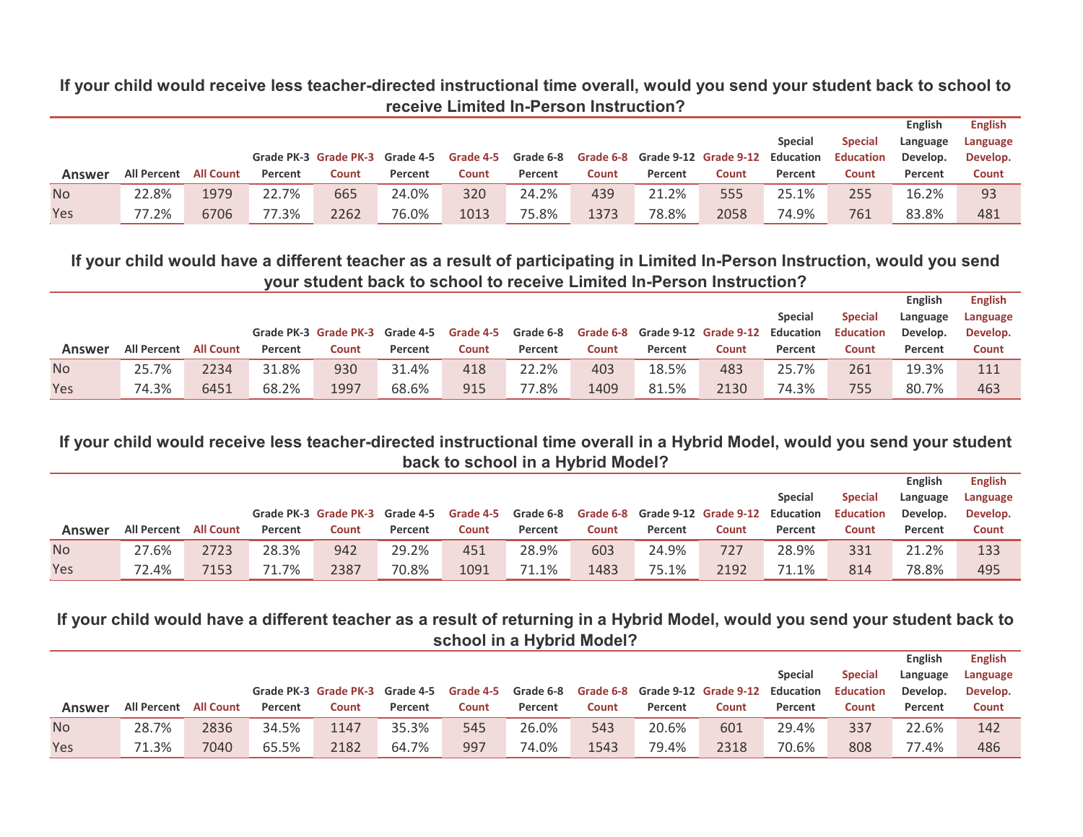**If your child would receive less teacher-directed instructional time overall, would you send your student back to school to receive Limited In-Person Instruction?** 

|           |                    |                  |         |                                 |         |       |                     |       |         |                                           |                |                  | <b>English</b> | <b>English</b> |
|-----------|--------------------|------------------|---------|---------------------------------|---------|-------|---------------------|-------|---------|-------------------------------------------|----------------|------------------|----------------|----------------|
|           |                    |                  |         |                                 |         |       |                     |       |         |                                           | <b>Special</b> | <b>Special</b>   | Language       | Language       |
|           |                    |                  |         | Grade PK-3 Grade PK-3 Grade 4-5 |         |       | Grade 4-5 Grade 6-8 |       |         | Grade 6-8 Grade 9-12 Grade 9-12 Education |                | <b>Education</b> | Develop.       | Develop.       |
| Answer    | <b>All Percent</b> | <b>All Count</b> | Percent | Count                           | Percent | Count | Percent             | Count | Percent | Count                                     | Percent        | Count            | Percent        | Count          |
| <b>No</b> | 22.8%              | 1979             | 22.7%   | 665                             | 24.0%   | 320   | 24.2%               | 439   | 21.2%   | 555                                       | 25.1%          | 255              | 16.2%          | 93             |
| Yes       | 77.2%              | 6706             | 77.3%   | 2262                            | 76.0%   | 1013  | 75.8%               | 1373  | 78.8%   | 2058                                      | 74.9%          | 761              | 83.8%          | 481            |

## **If your child would have a different teacher as a result of participating in Limited In-Person Instruction, would you send your student back to school to receive Limited In-Person Instruction?**

|           |                    |                  |         |                                 |         |           |           |       |         |                                           |                |                  | <b>English</b> | <b>English</b> |
|-----------|--------------------|------------------|---------|---------------------------------|---------|-----------|-----------|-------|---------|-------------------------------------------|----------------|------------------|----------------|----------------|
|           |                    |                  |         |                                 |         |           |           |       |         |                                           | <b>Special</b> | <b>Special</b>   | Language       | Language       |
|           |                    |                  |         | Grade PK-3 Grade PK-3 Grade 4-5 |         | Grade 4-5 | Grade 6-8 |       |         | Grade 6-8 Grade 9-12 Grade 9-12 Education |                | <b>Education</b> | Develop.       | Develop.       |
| Answer    | <b>All Percent</b> | <b>All Count</b> | Percent | <b>Count</b>                    | Percent | Count     | Percent   | Count | Percent | Count                                     | Percent        | Count            | Percent        | <b>Count</b>   |
| <b>No</b> | 25.7%              | 2234             | 31.8%   | 930                             | 31.4%   | 418       | 22.2%     | 403   | 18.5%   | 483                                       | 25.7%          | 261              | 19.3%          | 111            |
| Yes       | 74.3%              | 6451             | 68.2%   | 1997                            | 68.6%   | 915       | 77.8%     | 1409  | 81.5%   | 2130                                      | 74.3%          | 755              | 80.7%          | 463            |

## **If your child would receive less teacher-directed instructional time overall in a Hybrid Model, would you send your student back to school in a Hybrid Model?**

|           |                       |      |         |                                 |         |           |         |       |                                                     |       |                |                  | English  | <b>English</b> |
|-----------|-----------------------|------|---------|---------------------------------|---------|-----------|---------|-------|-----------------------------------------------------|-------|----------------|------------------|----------|----------------|
|           |                       |      |         |                                 |         |           |         |       |                                                     |       | <b>Special</b> | <b>Special</b>   | Language | Language       |
|           |                       |      |         | Grade PK-3 Grade PK-3 Grade 4-5 |         | Grade 4-5 |         |       | Grade 6-8 Grade 6-8 Grade 9-12 Grade 9-12 Education |       |                | <b>Education</b> | Develop. | Develop.       |
| Answer    | All Percent All Count |      | Percent | Count                           | Percent | Count     | Percent | Count | Percent                                             | Count | Percent        | Count            | Percent  | Count          |
| <b>No</b> | 27.6%                 | 2723 | 28.3%   | 942                             | 29.2%   | 451       | 28.9%   | 603   | 24.9%                                               | 727   | 28.9%          | 331              | 21.2%    | 133            |
| Yes       | 72.4%                 | 7153 | 71.7%   | 2387                            | 70.8%   | 1091      | 71.1%   | 1483  | 75.1%                                               | 2192  | 71.1%          | 814              | 78.8%    | 495            |

## **If your child would have a different teacher as a result of returning in a Hybrid Model, would you send your student back to school in a Hybrid Model?**

|           |                    |                  |         |                                 |         |           |           |       |         |                                 |                |                  | <b>English</b> | <b>English</b> |
|-----------|--------------------|------------------|---------|---------------------------------|---------|-----------|-----------|-------|---------|---------------------------------|----------------|------------------|----------------|----------------|
|           |                    |                  |         |                                 |         |           |           |       |         |                                 | <b>Special</b> | <b>Special</b>   | Language       | Language       |
|           |                    |                  |         | Grade PK-3 Grade PK-3 Grade 4-5 |         | Grade 4-5 | Grade 6-8 |       |         | Grade 6-8 Grade 9-12 Grade 9-12 | Education      | <b>Education</b> | Develop.       | Develop.       |
| Answer    | <b>All Percent</b> | <b>All Count</b> | Percent | Count                           | Percent | Count     | Percent   | Count | Percent | Count                           | Percent        | Count            | Percent        | Count          |
| <b>No</b> | 28.7%              | 2836             | 34.5%   | 1147                            | 35.3%   | 545       | 26.0%     | 543   | 20.6%   | 601                             | 29.4%          | 337              | 22.6%          | 142            |
| Yes       | 71.3%              | 7040             | 65.5%   | 2182                            | 64.7%   | 997       | 74.0%     | 1543  | 79.4%   | 2318                            | 70.6%          | 808              | 77.4%          | 486            |